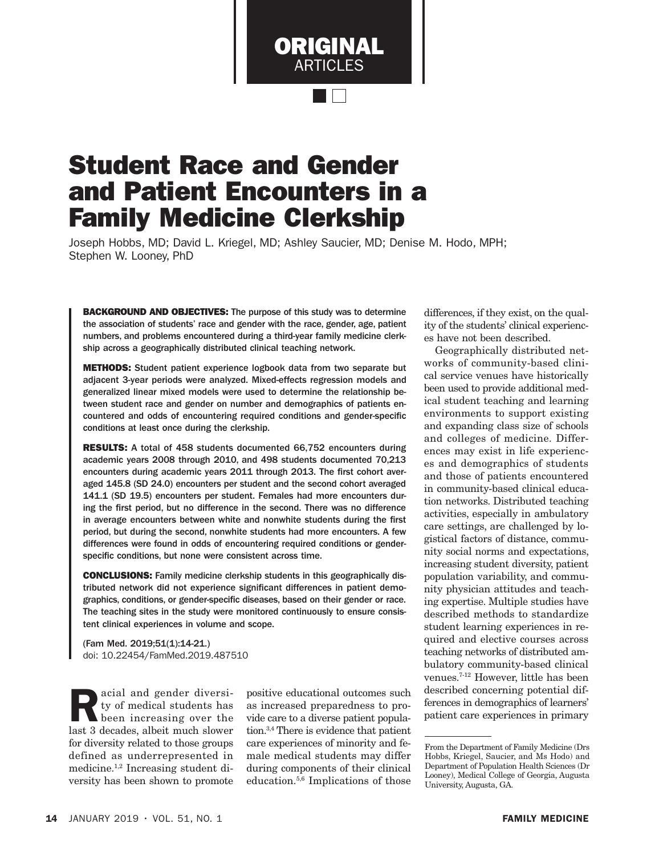# Student Race and Gender and Patient Encounters in a Family Medicine Clerkship

Joseph Hobbs, MD; David L. Kriegel, MD; Ashley Saucier, MD; Denise M. Hodo, MPH; Stephen W. Looney, PhD

ORIGINAL ARTICLES

**BACKGROUND AND OBJECTIVES:** The purpose of this study was to determine the association of students' race and gender with the race, gender, age, patient numbers, and problems encountered during a third-year family medicine clerkship across a geographically distributed clinical teaching network.

METHODS: Student patient experience logbook data from two separate but adjacent 3-year periods were analyzed. Mixed-effects regression models and generalized linear mixed models were used to determine the relationship between student race and gender on number and demographics of patients encountered and odds of encountering required conditions and gender-specific conditions at least once during the clerkship.

RESULTS: A total of 458 students documented 66,752 encounters during academic years 2008 through 2010, and 498 students documented 70,213 encounters during academic years 2011 through 2013. The first cohort averaged 145.8 (SD 24.0) encounters per student and the second cohort averaged 141.1 (SD 19.5) encounters per student. Females had more encounters during the first period, but no difference in the second. There was no difference in average encounters between white and nonwhite students during the first period, but during the second, nonwhite students had more encounters. A few differences were found in odds of encountering required conditions or genderspecific conditions, but none were consistent across time.

CONCLUSIONS: Family medicine clerkship students in this geographically distributed network did not experience significant differences in patient demographics, conditions, or gender-specific diseases, based on their gender or race. The teaching sites in the study were monitored continuously to ensure consistent clinical experiences in volume and scope.

(Fam Med. 2019;51(1):14-21.) doi: 10.22454/FamMed.2019.487510

Racial and gender diversi-<br>ty of medical students has<br>been increasing over the<br>last 3 decedes albeit much slower ty of medical students has been increasing over the last 3 decades, albeit much slower for diversity related to those groups defined as underrepresented in medicine.1,2 Increasing student diversity has been shown to promote

positive educational outcomes such as increased preparedness to provide care to a diverse patient population.3,4 There is evidence that patient care experiences of minority and female medical students may differ during components of their clinical education.5,6 Implications of those

differences, if they exist, on the quality of the students' clinical experiences have not been described.

Geographically distributed networks of community-based clinical service venues have historically been used to provide additional medical student teaching and learning environments to support existing and expanding class size of schools and colleges of medicine. Differences may exist in life experiences and demographics of students and those of patients encountered in community-based clinical education networks. Distributed teaching activities, especially in ambulatory care settings, are challenged by logistical factors of distance, community social norms and expectations, increasing student diversity, patient population variability, and community physician attitudes and teaching expertise. Multiple studies have described methods to standardize student learning experiences in required and elective courses across teaching networks of distributed ambulatory community-based clinical venues.7-12 However, little has been described concerning potential differences in demographics of learners' patient care experiences in primary

From the Department of Family Medicine (Drs Hobbs, Kriegel, Saucier, and Ms Hodo) and Department of Population Health Sciences (Dr Looney), Medical College of Georgia, Augusta University, Augusta, GA.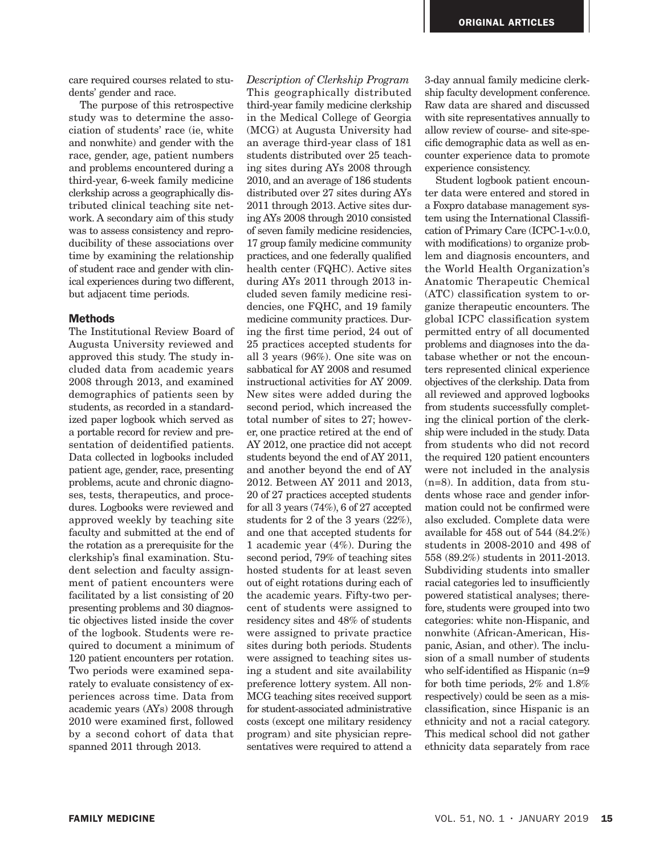care required courses related to students' gender and race.

The purpose of this retrospective study was to determine the association of students' race (ie, white and nonwhite) and gender with the race, gender, age, patient numbers and problems encountered during a third-year, 6-week family medicine clerkship across a geographically distributed clinical teaching site network. A secondary aim of this study was to assess consistency and reproducibility of these associations over time by examining the relationship of student race and gender with clinical experiences during two different, but adjacent time periods.

### **Methods**

The Institutional Review Board of Augusta University reviewed and approved this study. The study included data from academic years 2008 through 2013, and examined demographics of patients seen by students, as recorded in a standardized paper logbook which served as a portable record for review and presentation of deidentified patients. Data collected in logbooks included patient age, gender, race, presenting problems, acute and chronic diagnoses, tests, therapeutics, and procedures. Logbooks were reviewed and approved weekly by teaching site faculty and submitted at the end of the rotation as a prerequisite for the clerkship's final examination. Student selection and faculty assignment of patient encounters were facilitated by a list consisting of 20 presenting problems and 30 diagnostic objectives listed inside the cover of the logbook. Students were required to document a minimum of 120 patient encounters per rotation. Two periods were examined separately to evaluate consistency of experiences across time. Data from academic years (AYs) 2008 through 2010 were examined first, followed by a second cohort of data that spanned 2011 through 2013.

*Description of Clerkship Program* This geographically distributed third-year family medicine clerkship in the Medical College of Georgia (MCG) at Augusta University had an average third-year class of 181 students distributed over 25 teaching sites during AYs 2008 through 2010, and an average of 186 students distributed over 27 sites during AYs 2011 through 2013. Active sites during AYs 2008 through 2010 consisted of seven family medicine residencies, 17 group family medicine community practices, and one federally qualified health center (FQHC). Active sites during AYs 2011 through 2013 included seven family medicine residencies, one FQHC, and 19 family medicine community practices. During the first time period, 24 out of 25 practices accepted students for all 3 years (96%). One site was on sabbatical for AY 2008 and resumed instructional activities for AY 2009. New sites were added during the second period, which increased the total number of sites to 27; however, one practice retired at the end of AY 2012, one practice did not accept students beyond the end of AY 2011, and another beyond the end of AY 2012. Between AY 2011 and 2013, 20 of 27 practices accepted students for all 3 years (74%), 6 of 27 accepted students for 2 of the 3 years (22%), and one that accepted students for 1 academic year (4%). During the second period, 79% of teaching sites hosted students for at least seven out of eight rotations during each of the academic years. Fifty-two percent of students were assigned to residency sites and 48% of students were assigned to private practice sites during both periods. Students were assigned to teaching sites using a student and site availability preference lottery system. All non-MCG teaching sites received support for student-associated administrative costs (except one military residency program) and site physician representatives were required to attend a

3-day annual family medicine clerkship faculty development conference. Raw data are shared and discussed with site representatives annually to allow review of course- and site-specific demographic data as well as encounter experience data to promote experience consistency.

Student logbook patient encounter data were entered and stored in a Foxpro database management system using the International Classification of Primary Care (ICPC-1-v.0.0, with modifications) to organize problem and diagnosis encounters, and the World Health Organization's Anatomic Therapeutic Chemical (ATC) classification system to organize therapeutic encounters. The global ICPC classification system permitted entry of all documented problems and diagnoses into the database whether or not the encounters represented clinical experience objectives of the clerkship. Data from all reviewed and approved logbooks from students successfully completing the clinical portion of the clerkship were included in the study. Data from students who did not record the required 120 patient encounters were not included in the analysis (n=8). In addition, data from students whose race and gender information could not be confirmed were also excluded. Complete data were available for 458 out of 544 (84.2%) students in 2008-2010 and 498 of 558 (89.2%) students in 2011-2013. Subdividing students into smaller racial categories led to insufficiently powered statistical analyses; therefore, students were grouped into two categories: white non-Hispanic, and nonwhite (African-American, Hispanic, Asian, and other). The inclusion of a small number of students who self-identified as Hispanic (n=9 for both time periods, 2% and 1.8% respectively) could be seen as a misclassification, since Hispanic is an ethnicity and not a racial category. This medical school did not gather ethnicity data separately from race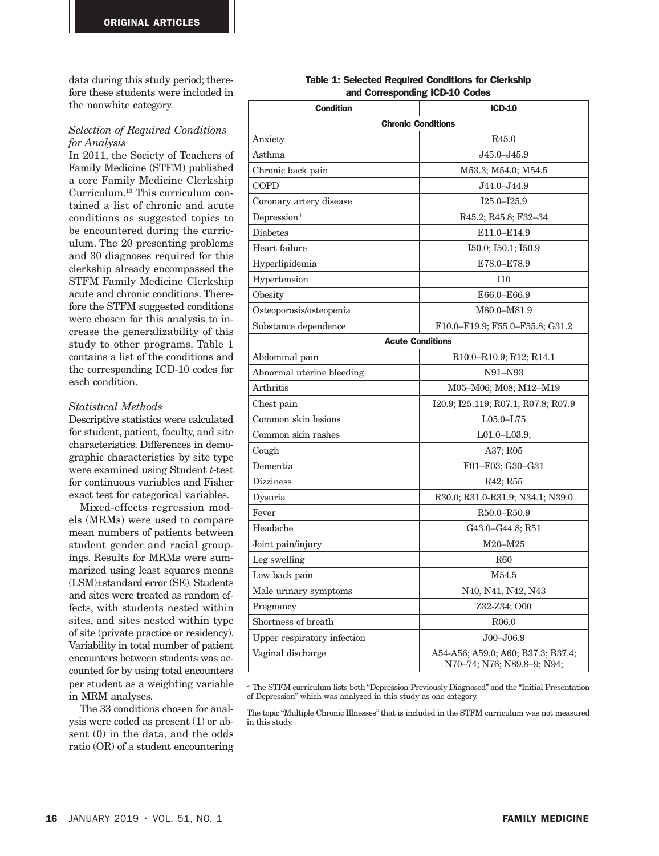data during this study period; therefore these students were included in the nonwhite category.

### *Selection of Required Conditions for Analysis*

In 2011, the Society of Teachers of Family Medicine (STFM) published a core Family Medicine Clerkship Curriculum.13 This curriculum contained a list of chronic and acute conditions as suggested topics to be encountered during the curriculum. The 20 presenting problems and 30 diagnoses required for this clerkship already encompassed the STFM Family Medicine Clerkship acute and chronic conditions. Therefore the STFM suggested conditions were chosen for this analysis to increase the generalizability of this study to other programs. Table 1 contains a list of the conditions and the corresponding ICD-10 codes for each condition.

#### *Statistical Methods*

Descriptive statistics were calculated for student, patient, faculty, and site characteristics. Differences in demographic characteristics by site type were examined using Student *t*-test for continuous variables and Fisher exact test for categorical variables.

Mixed-effects regression models (MRMs) were used to compare mean numbers of patients between student gender and racial groupings. Results for MRMs were summarized using least squares means (LSM)±standard error (SE). Students and sites were treated as random effects, with students nested within sites, and sites nested within type of site (private practice or residency). Variability in total number of patient encounters between students was accounted for by using total encounters per student as a weighting variable in MRM analyses.

The 33 conditions chosen for analysis were coded as present (1) or absent (0) in the data, and the odds ratio (OR) of a student encountering

#### Table 1: Selected Required Conditions for Clerkship and Corresponding ICD-10 Codes

| <b>Condition</b>            | <b>ICD-10</b>                                                              |  |  |  |  |  |  |  |  |
|-----------------------------|----------------------------------------------------------------------------|--|--|--|--|--|--|--|--|
| <b>Chronic Conditions</b>   |                                                                            |  |  |  |  |  |  |  |  |
| Anxiety                     | R45.0                                                                      |  |  |  |  |  |  |  |  |
| Asthma                      | J45.0-J45.9                                                                |  |  |  |  |  |  |  |  |
| Chronic back pain           | M53.3; M54.0; M54.5                                                        |  |  |  |  |  |  |  |  |
| COPD                        | J44.0-J44.9                                                                |  |  |  |  |  |  |  |  |
| Coronary artery disease     | $I25.0 - I25.9$                                                            |  |  |  |  |  |  |  |  |
| Depression*                 | R45.2; R45.8; F32-34                                                       |  |  |  |  |  |  |  |  |
| <b>Diabetes</b>             | E11.0-E14.9                                                                |  |  |  |  |  |  |  |  |
| Heart failure               | I50.0; I50.1; I50.9                                                        |  |  |  |  |  |  |  |  |
| Hyperlipidemia              | E78.0-E78.9                                                                |  |  |  |  |  |  |  |  |
| Hypertension                | 110                                                                        |  |  |  |  |  |  |  |  |
| Obesity                     | E66.0-E66.9                                                                |  |  |  |  |  |  |  |  |
| Osteoporosis/osteopenia     | M80.0-M81.9                                                                |  |  |  |  |  |  |  |  |
| Substance dependence        | F10.0-F19.9; F55.0-F55.8; G31.2                                            |  |  |  |  |  |  |  |  |
|                             | <b>Acute Conditions</b>                                                    |  |  |  |  |  |  |  |  |
| Abdominal pain              | R <sub>10.0</sub> –R <sub>10.9</sub> ; R <sub>12</sub> ; R <sub>14.1</sub> |  |  |  |  |  |  |  |  |
| Abnormal uterine bleeding   | N91–N93                                                                    |  |  |  |  |  |  |  |  |
| Arthritis                   | M05-M06; M08; M12-M19                                                      |  |  |  |  |  |  |  |  |
| Chest pain                  | I20.9; I25.119; R07.1; R07.8; R07.9                                        |  |  |  |  |  |  |  |  |
| Common skin lesions         | $L05.0 - L75$                                                              |  |  |  |  |  |  |  |  |
| Common skin rashes          | $L01.0 - L03.9$                                                            |  |  |  |  |  |  |  |  |
| Cough                       | A37; R05                                                                   |  |  |  |  |  |  |  |  |
| Dementia                    | F01-F03; G30-G31                                                           |  |  |  |  |  |  |  |  |
| <b>Dizziness</b>            | R42; R55                                                                   |  |  |  |  |  |  |  |  |
| Dysuria                     | R30.0; R31.0-R31.9; N34.1; N39.0                                           |  |  |  |  |  |  |  |  |
| Fever                       | R50.0-R50.9                                                                |  |  |  |  |  |  |  |  |
| Headache                    | G43.0-G44.8; R51                                                           |  |  |  |  |  |  |  |  |
| Joint pain/injury           | M20-M25                                                                    |  |  |  |  |  |  |  |  |
| Leg swelling                | <b>R60</b>                                                                 |  |  |  |  |  |  |  |  |
| Low back pain               | M54.5                                                                      |  |  |  |  |  |  |  |  |
| Male urinary symptoms       | N40, N41, N42, N43                                                         |  |  |  |  |  |  |  |  |
| Pregnancy                   | Z32-Z34; O00                                                               |  |  |  |  |  |  |  |  |
| Shortness of breath         | R <sub>06.0</sub>                                                          |  |  |  |  |  |  |  |  |
| Upper respiratory infection | $J00 - J06.9$                                                              |  |  |  |  |  |  |  |  |
| Vaginal discharge           | A54-A56; A59.0; A60; B37.3; B37.4;<br>N70-74; N76; N89.8-9; N94;           |  |  |  |  |  |  |  |  |

\* The STFM curriculum lists both "Depression Previously Diagnosed" and the "Initial Presentation of Depression" which was analyzed in this study as one category.

The topic "Multiple Chronic Illnesses" that is included in the STFM curriculum was not measured in this study.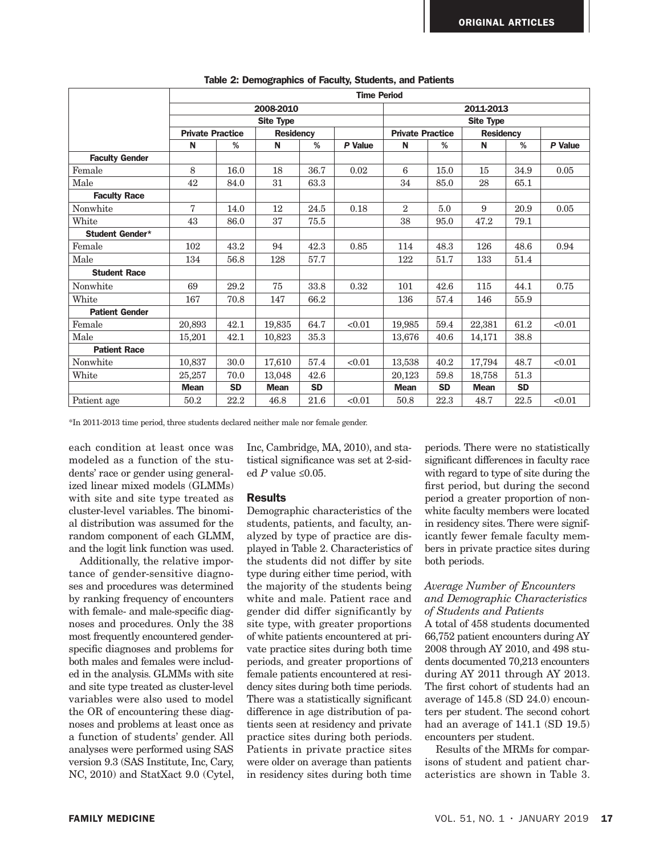|                       | <b>Time Period</b>      |           |                  |           |         |                         |           |                  |           |         |
|-----------------------|-------------------------|-----------|------------------|-----------|---------|-------------------------|-----------|------------------|-----------|---------|
|                       |                         | 2011-2013 |                  |           |         |                         |           |                  |           |         |
|                       |                         |           | <b>Site Type</b> |           |         |                         |           |                  |           |         |
|                       | <b>Private Practice</b> |           | <b>Residency</b> |           |         | <b>Private Practice</b> |           | <b>Residency</b> |           |         |
|                       | N                       | %         | N                | %         | P Value | N                       | %         | N                | %         | P Value |
| <b>Faculty Gender</b> |                         |           |                  |           |         |                         |           |                  |           |         |
| Female                | 8                       | 16.0      | 18               | 36.7      | 0.02    | 6                       | 15.0      | 15               | 34.9      | 0.05    |
| Male                  | 42                      | 84.0      | 31               | 63.3      |         | 34                      | 85.0      | 28               | 65.1      |         |
| <b>Faculty Race</b>   |                         |           |                  |           |         |                         |           |                  |           |         |
| Nonwhite              | 7                       | 14.0      | 12               | 24.5      | 0.18    | $\overline{2}$          | 5.0       | 9                | 20.9      | 0.05    |
| White                 | 43                      | 86.0      | 37               | 75.5      |         | 38                      | 95.0      | 47.2             | 79.1      |         |
| Student Gender*       |                         |           |                  |           |         |                         |           |                  |           |         |
| Female                | 102                     | 43.2      | 94               | 42.3      | 0.85    | 114                     | 48.3      | 126              | 48.6      | 0.94    |
| Male                  | 134                     | 56.8      | 128              | 57.7      |         | 122                     | 51.7      | 133              | 51.4      |         |
| <b>Student Race</b>   |                         |           |                  |           |         |                         |           |                  |           |         |
| Nonwhite              | 69                      | 29.2      | 75               | 33.8      | 0.32    | 101                     | 42.6      | 115              | 44.1      | 0.75    |
| White                 | 167                     | 70.8      | 147              | 66.2      |         | 136                     | 57.4      | 146              | 55.9      |         |
| <b>Patient Gender</b> |                         |           |                  |           |         |                         |           |                  |           |         |
| Female                | 20,893                  | 42.1      | 19,835           | 64.7      | < 0.01  | 19,985                  | 59.4      | 22,381           | 61.2      | < 0.01  |
| Male                  | 15,201                  | 42.1      | 10,823           | 35.3      |         | 13.676                  | 40.6      | 14,171           | 38.8      |         |
| <b>Patient Race</b>   |                         |           |                  |           |         |                         |           |                  |           |         |
| Nonwhite              | 10,837                  | 30.0      | 17,610           | 57.4      | < 0.01  | 13,538                  | 40.2      | 17,794           | 48.7      | < 0.01  |
| White                 | 25,257                  | 70.0      | 13,048           | 42.6      |         | 20,123                  | 59.8      | 18,758           | 51.3      |         |
|                       | <b>Mean</b>             | <b>SD</b> | <b>Mean</b>      | <b>SD</b> |         | <b>Mean</b>             | <b>SD</b> | <b>Mean</b>      | <b>SD</b> |         |
| Patient age           | 50.2                    | 22.2      | 46.8             | 21.6      | < 0.01  | 50.8                    | 22.3      | 48.7             | 22.5      | < 0.01  |

Table 2: Demographics of Faculty, Students, and Patients

\*In 2011-2013 time period, three students declared neither male nor female gender.

each condition at least once was modeled as a function of the students' race or gender using generalized linear mixed models (GLMMs) with site and site type treated as cluster-level variables. The binomial distribution was assumed for the random component of each GLMM, and the logit link function was used.

Additionally, the relative importance of gender-sensitive diagnoses and procedures was determined by ranking frequency of encounters with female- and male-specific diagnoses and procedures. Only the 38 most frequently encountered genderspecific diagnoses and problems for both males and females were included in the analysis. GLMMs with site and site type treated as cluster-level variables were also used to model the OR of encountering these diagnoses and problems at least once as a function of students' gender. All analyses were performed using SAS version 9.3 (SAS Institute, Inc, Cary, NC, 2010) and StatXact 9.0 (Cytel,

Inc, Cambridge, MA, 2010), and statistical significance was set at 2-sided *P* value ≤0.05.

#### Results

Demographic characteristics of the students, patients, and faculty, analyzed by type of practice are displayed in Table 2. Characteristics of the students did not differ by site type during either time period, with the majority of the students being white and male. Patient race and gender did differ significantly by site type, with greater proportions of white patients encountered at private practice sites during both time periods, and greater proportions of female patients encountered at residency sites during both time periods. There was a statistically significant difference in age distribution of patients seen at residency and private practice sites during both periods. Patients in private practice sites were older on average than patients in residency sites during both time periods. There were no statistically significant differences in faculty race with regard to type of site during the first period, but during the second period a greater proportion of nonwhite faculty members were located in residency sites. There were significantly fewer female faculty members in private practice sites during both periods.

## *Average Number of Encounters and Demographic Characteristics of Students and Patients*

A total of 458 students documented 66,752 patient encounters during AY 2008 through AY 2010, and 498 students documented 70,213 encounters during AY 2011 through AY 2013. The first cohort of students had an average of 145.8 (SD 24.0) encounters per student. The second cohort had an average of 141.1 (SD 19.5) encounters per student.

Results of the MRMs for comparisons of student and patient characteristics are shown in Table 3.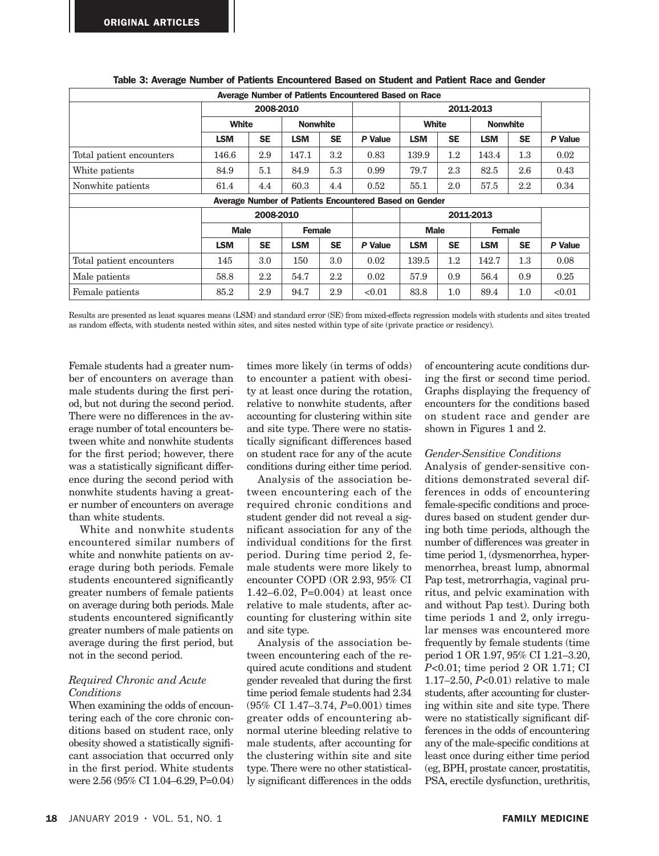| Average Number of Patients Encountered Based on Race |                                                        |           |                 |           |         |             |           |               |                 |         |  |  |
|------------------------------------------------------|--------------------------------------------------------|-----------|-----------------|-----------|---------|-------------|-----------|---------------|-----------------|---------|--|--|
|                                                      | 2008-2010                                              |           |                 |           |         | 2011-2013   |           |               |                 |         |  |  |
|                                                      | <b>White</b>                                           |           | <b>Nonwhite</b> |           |         |             | White     |               | <b>Nonwhite</b> |         |  |  |
|                                                      | <b>LSM</b>                                             | <b>SE</b> | <b>LSM</b>      | <b>SE</b> | P Value | <b>LSM</b>  | <b>SE</b> | <b>LSM</b>    | <b>SE</b>       | P Value |  |  |
| Total patient encounters                             | 146.6                                                  | 2.9       | 147.1           | 3.2       | 0.83    | 139.9       | $1.2\,$   | 143.4         | $1.3\,$         | 0.02    |  |  |
| White patients                                       | 84.9                                                   | 5.1       | 84.9            | 5.3       | 0.99    | 79.7        | 2.3       | 82.5          | 2.6             | 0.43    |  |  |
| Nonwhite patients                                    | 61.4                                                   | 4.4       | 60.3            | 4.4       | 0.52    | 55.1        | 2.0       | 57.5          | $2.2\,$         | 0.34    |  |  |
|                                                      | Average Number of Patients Encountered Based on Gender |           |                 |           |         |             |           |               |                 |         |  |  |
|                                                      | 2008-2010                                              |           |                 |           |         | 2011-2013   |           |               |                 |         |  |  |
|                                                      | <b>Male</b><br><b>Female</b>                           |           |                 |           |         | <b>Male</b> |           | <b>Female</b> |                 |         |  |  |
|                                                      | <b>LSM</b>                                             | <b>SE</b> | <b>LSM</b>      | <b>SE</b> | P Value | <b>LSM</b>  | <b>SE</b> | <b>LSM</b>    | <b>SE</b>       | P Value |  |  |
| Total patient encounters                             | 145                                                    | 3.0       | 150             | 3.0       | 0.02    | 139.5       | $1.2\,$   | 142.7         | $1.3\,$         | 0.08    |  |  |
| Male patients                                        | 58.8                                                   | 2.2       | 54.7            | $2.2\,$   | 0.02    | 57.9        | 0.9       | 56.4          | 0.9             | 0.25    |  |  |
| Female patients                                      | 85.2                                                   | 2.9       | 94.7            | 2.9       | < 0.01  | 83.8        | 1.0       | 89.4          | 1.0             | < 0.01  |  |  |

## Table 3: Average Number of Patients Encountered Based on Student and Patient Race and Gender

Results are presented as least squares means (LSM) and standard error (SE) from mixed-effects regression models with students and sites treated as random effects, with students nested within sites, and sites nested within type of site (private practice or residency).

Female students had a greater number of encounters on average than male students during the first period, but not during the second period. There were no differences in the average number of total encounters between white and nonwhite students for the first period; however, there was a statistically significant difference during the second period with nonwhite students having a greater number of encounters on average than white students.

White and nonwhite students encountered similar numbers of white and nonwhite patients on average during both periods. Female students encountered significantly greater numbers of female patients on average during both periods. Male students encountered significantly greater numbers of male patients on average during the first period, but not in the second period.

## *Required Chronic and Acute Conditions*

When examining the odds of encountering each of the core chronic conditions based on student race, only obesity showed a statistically significant association that occurred only in the first period. White students were 2.56 (95% CI 1.04–6.29, P=0.04) times more likely (in terms of odds) to encounter a patient with obesity at least once during the rotation, relative to nonwhite students, after accounting for clustering within site and site type. There were no statistically significant differences based on student race for any of the acute conditions during either time period.

Analysis of the association between encountering each of the required chronic conditions and student gender did not reveal a significant association for any of the individual conditions for the first period. During time period 2, female students were more likely to encounter COPD (OR 2.93, 95% CI 1.42–6.02, P=0.004) at least once relative to male students, after accounting for clustering within site and site type.

Analysis of the association between encountering each of the required acute conditions and student gender revealed that during the first time period female students had 2.34 (95% CI 1.47–3.74, *P*=0.001) times greater odds of encountering abnormal uterine bleeding relative to male students, after accounting for the clustering within site and site type. There were no other statistically significant differences in the odds of encountering acute conditions during the first or second time period. Graphs displaying the frequency of encounters for the conditions based on student race and gender are shown in Figures 1 and 2.

#### *Gender-Sensitive Conditions*

Analysis of gender-sensitive conditions demonstrated several differences in odds of encountering female-specific conditions and procedures based on student gender during both time periods, although the number of differences was greater in time period 1, (dysmenorrhea, hypermenorrhea, breast lump, abnormal Pap test, metrorrhagia, vaginal pruritus, and pelvic examination with and without Pap test). During both time periods 1 and 2, only irregular menses was encountered more frequently by female students (time period 1 OR 1.97, 95% CI 1.21–3.20, *P*<0.01; time period 2 OR 1.71; CI 1.17–2.50, *P*<0.01) relative to male students, after accounting for clustering within site and site type. There were no statistically significant differences in the odds of encountering any of the male-specific conditions at least once during either time period (eg, BPH, prostate cancer, prostatitis, PSA, erectile dysfunction, urethritis,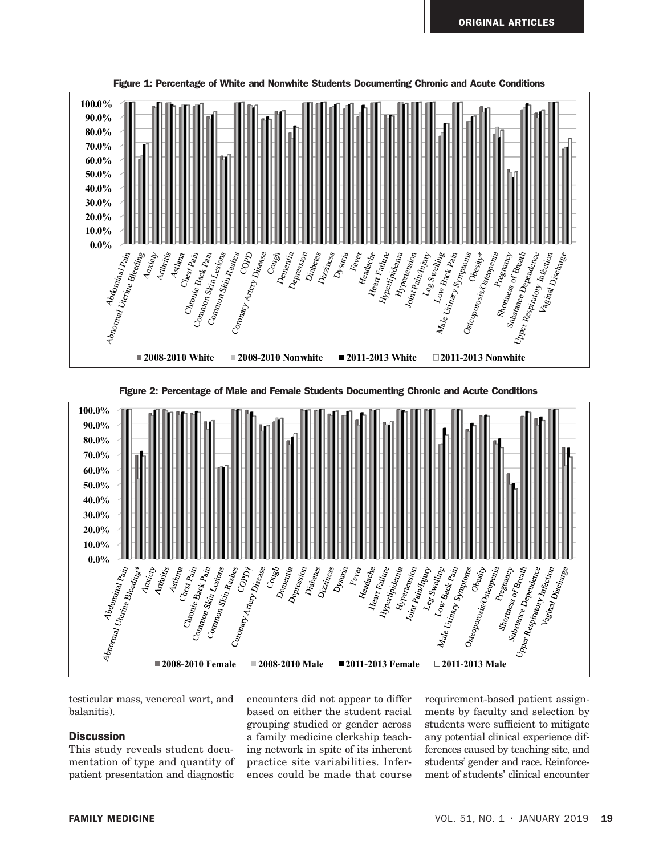

**Percentage of Male and Female Students Documenting Chronic and Acute Conditions** Figure 2: Percentage of Male and Female Students Documenting Chronic and Acute Conditions



testicular mass, venereal wart, and balanitis).

## **Discussion**

This study reveals student documentation of type and quantity of patient presentation and diagnostic

encounters did not appear to differ based on either the student racial grouping studied or gender across a family medicine clerkship teaching network in spite of its inherent practice site variabilities. Inferences could be made that course requirement-based patient assignments by faculty and selection by students were sufficient to mitigate any potential clinical experience differences caused by teaching site, and students' gender and race. Reinforcement of students' clinical encounter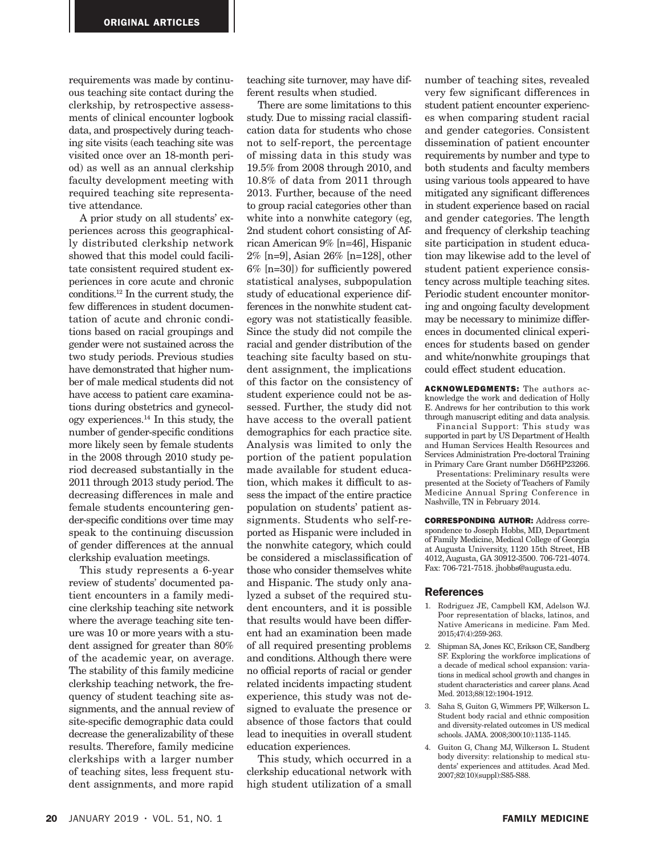requirements was made by continuous teaching site contact during the clerkship, by retrospective assessments of clinical encounter logbook data, and prospectively during teaching site visits (each teaching site was visited once over an 18-month period) as well as an annual clerkship faculty development meeting with required teaching site representative attendance.

A prior study on all students' experiences across this geographically distributed clerkship network showed that this model could facilitate consistent required student experiences in core acute and chronic conditions.12 In the current study, the few differences in student documentation of acute and chronic conditions based on racial groupings and gender were not sustained across the two study periods. Previous studies have demonstrated that higher number of male medical students did not have access to patient care examinations during obstetrics and gynecology experiences.14 In this study, the number of gender-specific conditions more likely seen by female students in the 2008 through 2010 study period decreased substantially in the 2011 through 2013 study period. The decreasing differences in male and female students encountering gender-specific conditions over time may speak to the continuing discussion of gender differences at the annual clerkship evaluation meetings.

This study represents a 6-year review of students' documented patient encounters in a family medicine clerkship teaching site network where the average teaching site tenure was 10 or more years with a student assigned for greater than 80% of the academic year, on average. The stability of this family medicine clerkship teaching network, the frequency of student teaching site assignments, and the annual review of site-specific demographic data could decrease the generalizability of these results. Therefore, family medicine clerkships with a larger number of teaching sites, less frequent student assignments, and more rapid

teaching site turnover, may have different results when studied.

There are some limitations to this study. Due to missing racial classification data for students who chose not to self-report, the percentage of missing data in this study was 19.5% from 2008 through 2010, and 10.8% of data from 2011 through 2013. Further, because of the need to group racial categories other than white into a nonwhite category (eg, 2nd student cohort consisting of African American 9% [n=46], Hispanic 2% [n=9], Asian 26% [n=128], other 6% [n=30]) for sufficiently powered statistical analyses, subpopulation study of educational experience differences in the nonwhite student category was not statistically feasible. Since the study did not compile the racial and gender distribution of the teaching site faculty based on student assignment, the implications of this factor on the consistency of student experience could not be assessed. Further, the study did not have access to the overall patient demographics for each practice site. Analysis was limited to only the portion of the patient population made available for student education, which makes it difficult to assess the impact of the entire practice population on students' patient assignments. Students who self-reported as Hispanic were included in the nonwhite category, which could be considered a misclassification of those who consider themselves white and Hispanic. The study only analyzed a subset of the required student encounters, and it is possible that results would have been different had an examination been made of all required presenting problems and conditions. Although there were no official reports of racial or gender related incidents impacting student experience, this study was not designed to evaluate the presence or absence of those factors that could lead to inequities in overall student education experiences.

This study, which occurred in a clerkship educational network with high student utilization of a small

number of teaching sites, revealed very few significant differences in student patient encounter experiences when comparing student racial and gender categories. Consistent dissemination of patient encounter requirements by number and type to both students and faculty members using various tools appeared to have mitigated any significant differences in student experience based on racial and gender categories. The length and frequency of clerkship teaching site participation in student education may likewise add to the level of student patient experience consistency across multiple teaching sites. Periodic student encounter monitoring and ongoing faculty development may be necessary to minimize differences in documented clinical experiences for students based on gender and white/nonwhite groupings that could effect student education.

ACKNOWLEDGMENTS: The authors acknowledge the work and dedication of Holly E. Andrews for her contribution to this work through manuscript editing and data analysis.

Financial Support: This study was supported in part by US Department of Health and Human Services Health Resources and Services Administration Pre-doctoral Training in Primary Care Grant number D56HP23266.

Presentations: Preliminary results were presented at the Society of Teachers of Family Medicine Annual Spring Conference in Nashville, TN in February 2014.

CORRESPONDING AUTHOR: Address correspondence to Joseph Hobbs, MD, Department of Family Medicine, Medical College of Georgia at Augusta University, 1120 15th Street, HB 4012, Augusta, GA 30912-3500. 706-721-4074. Fax: 706-721-7518. jhobbs@augusta.edu.

#### References

- 1. Rodriguez JE, Campbell KM, Adelson WJ. Poor representation of blacks, latinos, and Native Americans in medicine. Fam Med. 2015;47(4):259-263.
- 2. Shipman SA, Jones KC, Erikson CE, Sandberg SF. Exploring the workforce implications of a decade of medical school expansion: variations in medical school growth and changes in student characteristics and career plans. Acad Med. 2013;88(12):1904-1912.
- 3. Saha S, Guiton G, Wimmers PF, Wilkerson L. Student body racial and ethnic composition and diversity-related outcomes in US medical schools. JAMA. 2008;300(10):1135-1145.
- 4. Guiton G, Chang MJ, Wilkerson L. Student body diversity: relationship to medical students' experiences and attitudes. Acad Med. 2007;82(10)(suppl):S85-S88.